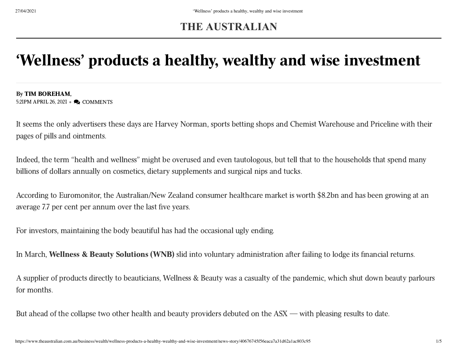## **THE AUSTRALIAN**

# 'Wellness' products a healthy, wealthy and wise investment

### By TIM [BOREHAM,](https://www.theaustralian.com.au/author/Tim+Boreham)

5:21PM APRIL 26, 2021 • Q COMMENTS

It seems the only advertisers these days are Harvey Norman, sports betting shops and Chemist Warehouse and Priceline with their pages of pills and ointments.

Indeed, the term "health and wellness" might be overused and even tautologous, but tell that to the households that spend many billions of dollars annually on cosmetics, dietary supplements and surgical nips and tucks.

According to Euromonitor, the Australian/New Zealand consumer healthcare market is worth \$8.2bn and has been growing at an average 7.7 per cent per annum over the last five years.

For investors, maintaining the body beautiful has had the occasional ugly ending.

In March, Wellness & Beauty Solutions (WNB) slid into voluntary administration after failing to lodge its financial returns.

A supplier of products directly to beauticians, Wellness & Beauty was a casualty of the pandemic, which shut down beauty parlours for months.

But ahead of the collapse two other health and beauty providers debuted on the ASX — with pleasing results to date.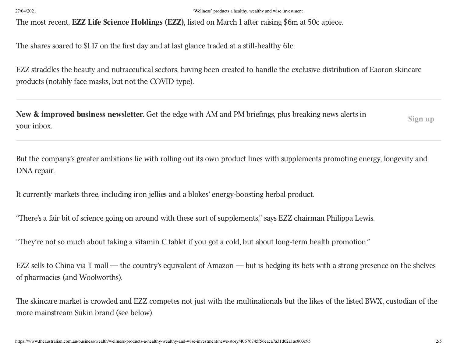### 27/04/2021 'Wellness' products a healthy, wealthy and wise investment

The most recent, **EZZ Life Science Holdings (EZZ)**, listed on March 1 after raising \$6m at 50c apiece.

The shares soared to \$1.17 on the first day and at last glance traded at a still-healthy 61c.

EZZ straddles the beauty and nutraceutical sectors, having been created to handle the exclusive distribution of Eaoron skincare products (notably face masks, but not the COVID type).

New & improved business newsletter. Get the edge with AM and PM briefings, plus breaking news alerts in your inbox. Sign up

But the company's greater ambitions lie with rolling out its own product lines with supplements promoting energy, longevity and DNA repair.

It currently markets three, including iron jellies and a blokes' energy-boosting herbal product.

"There's a fair bit of science going on around with these sort of supplements," says EZZ chairman Philippa Lewis.

"They're not so much about taking a vitamin C tablet if you got a cold, but about long-term health promotion."

EZZ sells to China via T mall — the country's equivalent of Amazon — but is hedging its bets with a strong presence on the shelves of pharmacies (and Woolworths).

The skincare market is crowded and EZZ competes not just with the multinationals but the likes of the listed BWX, custodian of the more mainstream Sukin brand (see below).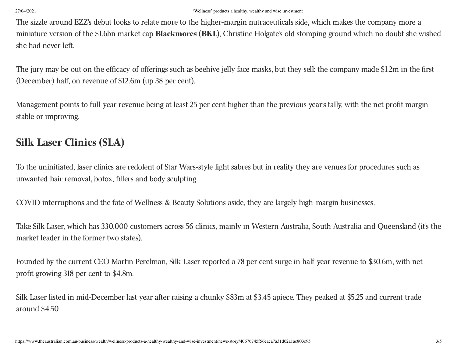### 27/04/2021 'Wellness' products a healthy, wealthy and wise investment

The sizzle around EZZ's debut looks to relate more to the higher-margin nutraceuticals side, which makes the company more a miniature version of the \$1.6bn market cap Blackmores (BKL), Christine Holgate's old stomping ground which no doubt she wished she had never left.

The jury may be out on the efficacy of offerings such as beehive jelly face masks, but they sell: the company made \$1.2m in the first (December) half, on revenue of \$12.6m (up 38 per cent).

Management points to full-year revenue being at least 25 per cent higher than the previous year's tally, with the net profit margin stable or improving.

### Silk Laser Clinics (SLA)

To the uninitiated, laser clinics are redolent of Star Wars-style light sabres but in reality they are venues for procedures such as unwanted hair removal, botox, fillers and body sculpting.

COVID interruptions and the fate of Wellness & Beauty Solutions aside, they are largely high-margin businesses.

Take Silk Laser, which has 330,000 customers across 56 clinics, mainly in Western Australia, South Australia and Queensland (it's the market leader in the former two states).

Founded by the current CEO Martin Perelman, Silk Laser reported a 78 per cent surge in half-year revenue to \$30.6m, with net profit growing 318 per cent to \$4.8m.

Silk Laser listed in mid-December last year after raising a chunky \$83m at \$3.45 apiece. They peaked at \$5.25 and current trade around \$4.50.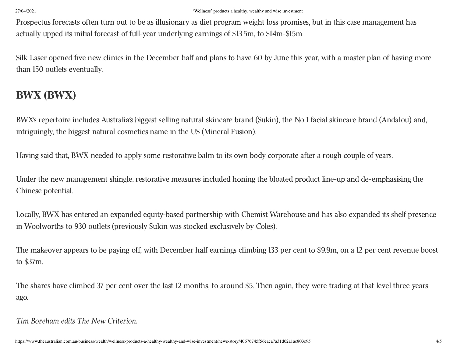Prospectus forecasts often turn out to be as illusionary as diet program weight loss promises, but in this case management has actually upped its initial forecast of full-year underlying earnings of \$13.5m, to \$14m-\$15m.

Silk Laser opened five new clinics in the December half and plans to have 60 by June this year, with a master plan of having more than 150 outlets eventually.

## BWX (BWX)

BWX's repertoire includes Australia's biggest selling natural skincare brand (Sukin), the No 1 facial skincare brand (Andalou) and, intriguingly, the biggest natural cosmetics name in the US (Mineral Fusion).

Having said that, BWX needed to apply some restorative balm to its own body corporate after a rough couple of years.

Under the new management shingle, restorative measures included honing the bloated product line-up and de-emphasising the Chinese potential.

Locally, BWX has entered an expanded equity-based partnership with Chemist Warehouse and has also expanded its shelf presence in Woolworths to 930 outlets (previously Sukin was stocked exclusively by Coles).

The makeover appears to be paying off, with December half earnings climbing 133 per cent to \$9.9m, on a 12 per cent revenue boost to \$37m.

The shares have climbed 37 per cent over the last 12 months, to around \$5. Then again, they were trading at that level three years ago.

Tim Boreham edits The New Criterion.